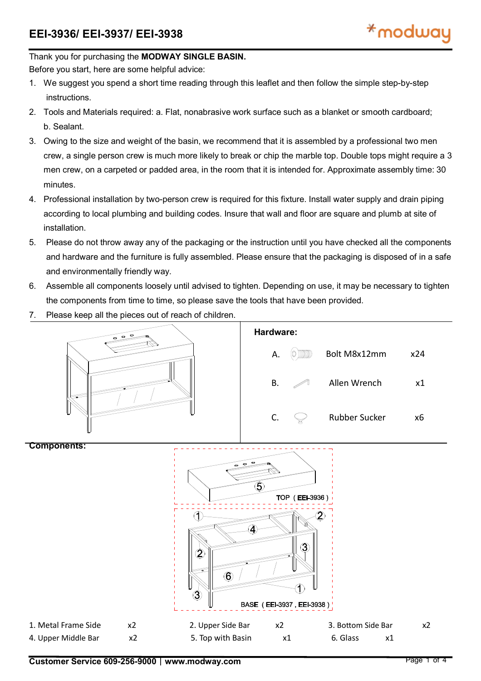#### Thank you for purchasing the **MODWAY SINGLE BASIN.**

Before you start, here are some helpful advice:

- 1. We suggest you spend a short time reading through this leaflet and then follow the simple step-by-step instructions.
- 2. Tools and Materials required: a. Flat, nonabrasive work surface such as a blanket or smooth cardboard; b. Sealant.
- 3. Owing to the size and weight of the basin, we recommend that it is assembled by a professional two men crew, a single person crew is much more likely to break or chip the marble top. Double tops might require a 3 men crew, on a carpeted or padded area, in the room that it is intended for. Approximate assembly time: 30 minutes.
- 4. Professional installation by two-person crew is required for this fixture. Install water supply and drain piping according to local plumbing and building codes. Insure that wall and floor are square and plumb at site of installation.
- 5. Please do not throw away any of the packaging or the instruction until you have checked all the components and hardware and the furniture is fully assembled. Please ensure that the packaging is disposed of in a safe and environmentally friendly way.
- 6. Assemble all components loosely until advised to tighten. Depending on use, it may be necessary to tighten the components from time to time, so please save the tools that have been provided.
- 7. Please keep all the pieces out of reach of children.



1. Metal Frame Side x2 2. Upper Side Bar x2 3. Bottom Side Bar x2

BASE (EEI-3937, EEI-3938)

4. Upper Middle Bar  $x^2$  5. Top with Basin  $x^2$  6. Glass  $x^1$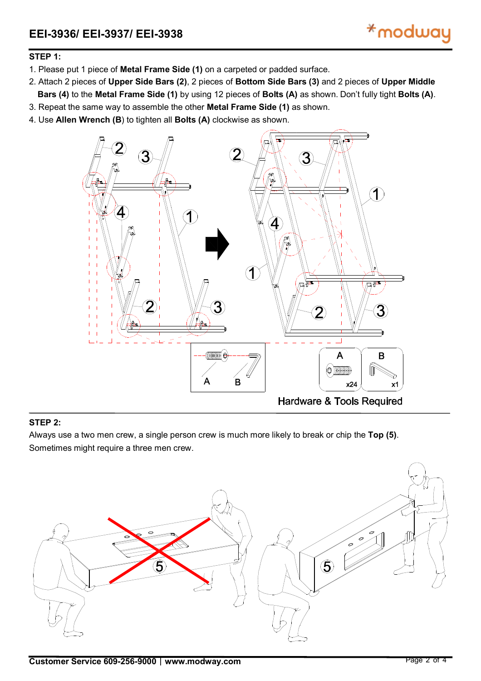## **STEP 1:**

- 1. Please put 1 piece of **Metal Frame Side (1)** on a carpeted or padded surface.
- 2. Attach 2 pieces of **Upper Side Bars (2)**, 2 pieces of **Bottom Side Bars (3)** and 2 pieces of **Upper Middle Bars (4)** to the **Metal Frame Side (1)** by using 12 pieces of **Bolts (A)** as shown. Don't fully tight **Bolts (A)**.
- 3. Repeat the same way to assemble the other **Metal Frame Side (1)** as shown.
- 4. Use **Allen Wrench (B**) to tighten all **Bolts (A)** clockwise as shown.



### **STEP 2:**

Always use a two men crew, a single person crew is much more likely to break or chip the **Top (5)**. Sometimes might require a three men crew.

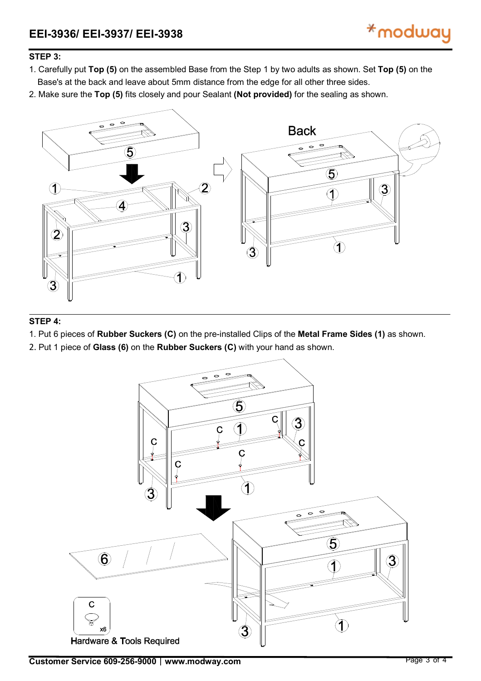# **STEP 3:**

- 1. Carefully put **Top (5)** on the assembled Base from the Step 1 by two adults as shown. Set **Top (5)** on the Base's at the back and leave about 5mm distance from the edge for all other three sides.
- 2. Make sure the **Top (5)** fits closely and pour Sealant **(Not provided)** for the sealing as shown.



### **STEP 4:**

1. Put 6 pieces of **Rubber Suckers (C)** on the pre-installed Clips of the **Metal Frame Sides (1)** as shown.

2. Put 1 piece of **Glass (6)** on the **Rubber Suckers (C)** with your hand as shown.